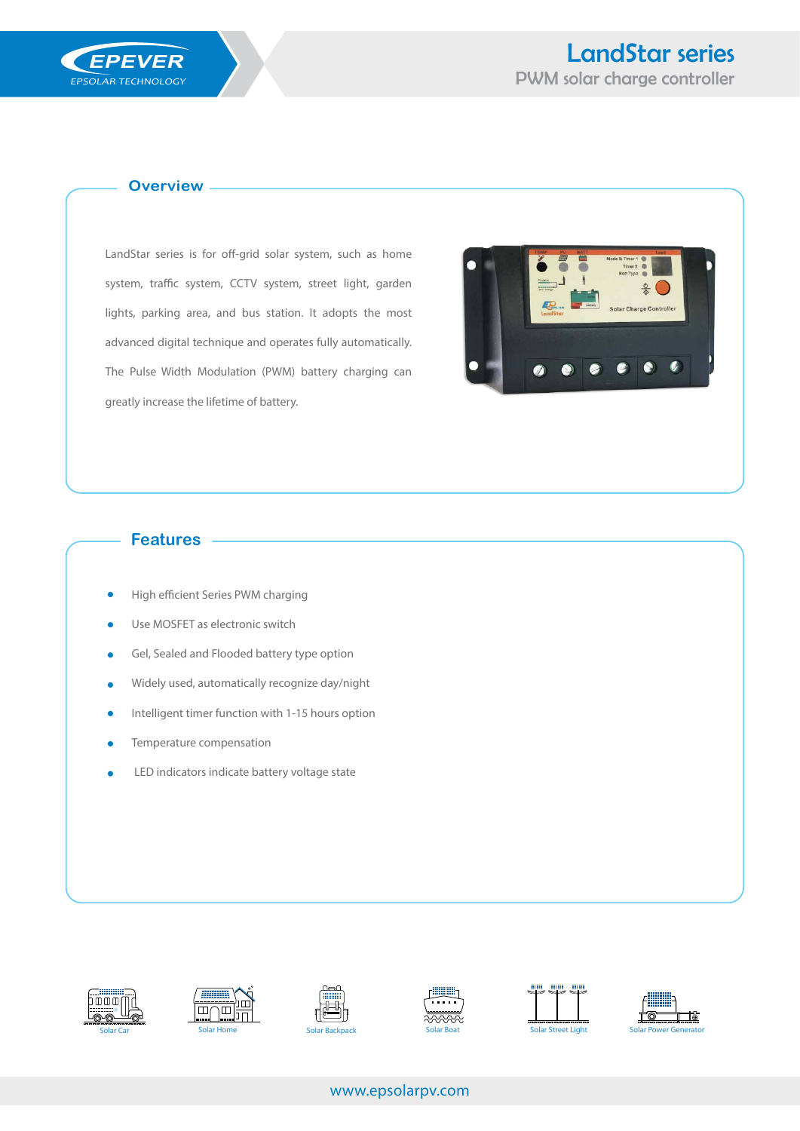

## **Overview**

LandStar series is for off-grid solar system, such as home system, traffic system, CCTV system, street light, garden lights, parking area, and bus station. It adopts the most advanced digital technique and operates fully automatically. The Pulse Width Modulation (PWM) battery charging can greatly increase the lifetime of battery.



## **Features**

- High efficient Series PWM charging
- Use MOSFET as electronic switch
- Gel, Sealed and Flooded battery type option
- Widely used, automatically recognize day/night
- Intelligent timer function with 1-15 hours option
- Temperature compensation
- LED indicators indicate battery voltage state













## www.epsolarpv.com